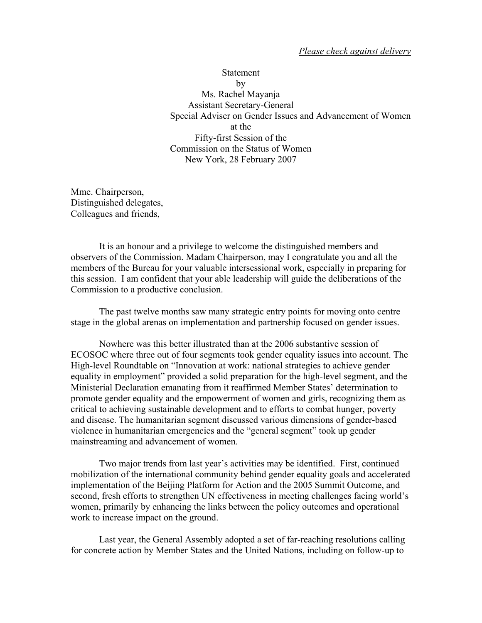## *Please check against delivery*

**Statement** by Ms. Rachel Mayanja Assistant Secretary-General Special Adviser on Gender Issues and Advancement of Women at the Fifty-first Session of the Commission on the Status of Women New York, 28 February 2007

Mme. Chairperson, Distinguished delegates, Colleagues and friends,

It is an honour and a privilege to welcome the distinguished members and observers of the Commission. Madam Chairperson, may I congratulate you and all the members of the Bureau for your valuable intersessional work, especially in preparing for this session. I am confident that your able leadership will guide the deliberations of the Commission to a productive conclusion.

 The past twelve months saw many strategic entry points for moving onto centre stage in the global arenas on implementation and partnership focused on gender issues.

 Nowhere was this better illustrated than at the 2006 substantive session of ECOSOC where three out of four segments took gender equality issues into account. The High-level Roundtable on "Innovation at work: national strategies to achieve gender equality in employment" provided a solid preparation for the high-level segment, and the Ministerial Declaration emanating from it reaffirmed Member States' determination to promote gender equality and the empowerment of women and girls, recognizing them as critical to achieving sustainable development and to efforts to combat hunger, poverty and disease. The humanitarian segment discussed various dimensions of gender-based violence in humanitarian emergencies and the "general segment" took up gender mainstreaming and advancement of women.

 Two major trends from last year's activities may be identified. First, continued mobilization of the international community behind gender equality goals and accelerated implementation of the Beijing Platform for Action and the 2005 Summit Outcome, and second, fresh efforts to strengthen UN effectiveness in meeting challenges facing world's women, primarily by enhancing the links between the policy outcomes and operational work to increase impact on the ground.

 Last year, the General Assembly adopted a set of far-reaching resolutions calling for concrete action by Member States and the United Nations, including on follow-up to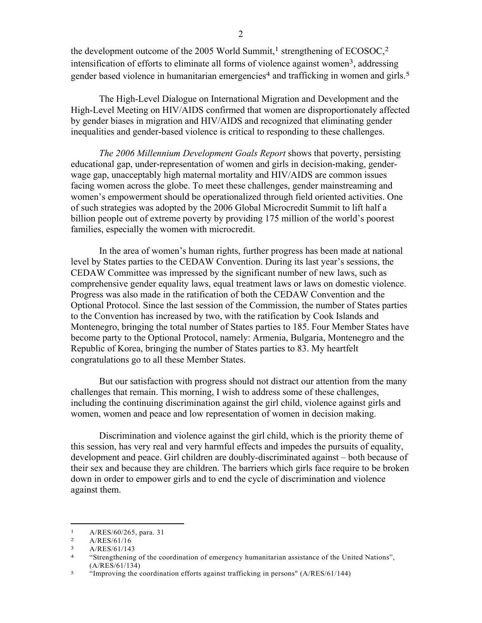the development outcome of the 2005 World Summit,<sup>1</sup> strengthening of  $ECOSOC<sub>1</sub><sup>2</sup>$ intensification of efforts to eliminate all forms of violence against women<sup>3</sup>, addressing gender based violence in humanitarian emergencies<sup>4</sup> and trafficking in women and girls.<sup>5</sup>

 The High-Level Dialogue on International Migration and Development and the High-Level Meeting on HIV/AIDS confirmed that women are disproportionately affected by gender biases in migration and HIV/AIDS and recognized that eliminating gender inequalities and gender-based violence is critical to responding to these challenges.

 *The 2006 Millennium Development Goals Report* shows that poverty, persisting educational gap, under-representation of women and girls in decision-making, genderwage gap, unacceptably high maternal mortality and HIV/AIDS are common issues facing women across the globe. To meet these challenges, gender mainstreaming and women's empowerment should be operationalized through field oriented activities. One of such strategies was adopted by the 2006 Global Microcredit Summit to lift half a billion people out of extreme poverty by providing 175 million of the world's poorest families, especially the women with microcredit.

 In the area of women's human rights, further progress has been made at national level by States parties to the CEDAW Convention. During its last year's sessions, the CEDAW Committee was impressed by the significant number of new laws, such as comprehensive gender equality laws, equal treatment laws or laws on domestic violence. Progress was also made in the ratification of both the CEDAW Convention and the Optional Protocol. Since the last session of the Commission, the number of States parties to the Convention has increased by two, with the ratification by Cook Islands and Montenegro, bringing the total number of States parties to 185. Four Member States have become party to the Optional Protocol, namely: Armenia, Bulgaria, Montenegro and the Republic of Korea, bringing the number of States parties to 83. My heartfelt congratulations go to all these Member States.

 But our satisfaction with progress should not distract our attention from the many challenges that remain. This morning, I wish to address some of these challenges, including the continuing discrimination against the girl child, violence against girls and women, women and peace and low representation of women in decision making.

Discrimination and violence against the girl child, which is the priority theme of this session, has very real and very harmful effects and impedes the pursuits of equality, development and peace. Girl children are doubly-discriminated against – both because of their sex and because they are children. The barriers which girls face require to be broken down in order to empower girls and to end the cycle of discrimination and violence against them.

1

 $\frac{1}{2}$  A/RES/60/265, para. 31

A/RES/61/16

<sup>3</sup> A/RES/61/143

<sup>4 &</sup>quot;Strengthening of the coordination of emergency humanitarian assistance of the United Nations",  $(A/RES/61/134)$ <br>
<sup>5</sup> "Improving the coordination efforts against trafficking in persons" (A/RES/61/144)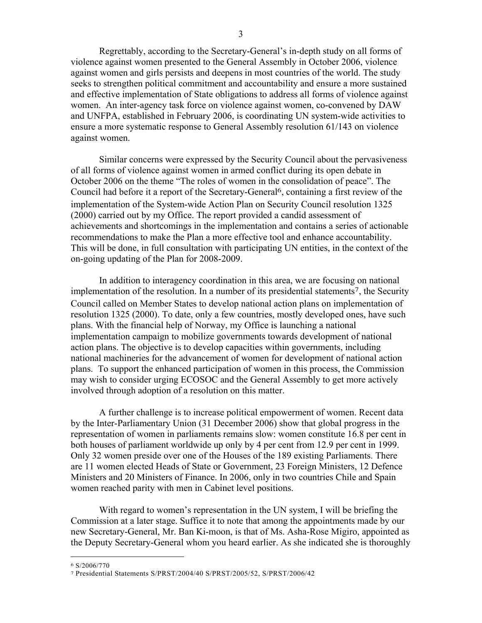Regrettably, according to the Secretary-General's in-depth study on all forms of violence against women presented to the General Assembly in October 2006, violence against women and girls persists and deepens in most countries of the world. The study seeks to strengthen political commitment and accountability and ensure a more sustained and effective implementation of State obligations to address all forms of violence against women. An inter-agency task force on violence against women, co-convened by DAW and UNFPA, established in February 2006, is coordinating UN system-wide activities to ensure a more systematic response to General Assembly resolution 61/143 on violence against women.

Similar concerns were expressed by the Security Council about the pervasiveness of all forms of violence against women in armed conflict during its open debate in October 2006 on the theme "The roles of women in the consolidation of peace". The Council had before it a report of the Secretary-General6, containing a first review of the implementation of the System-wide Action Plan on Security Council resolution 1325 (2000) carried out by my Office. The report provided a candid assessment of achievements and shortcomings in the implementation and contains a series of actionable recommendations to make the Plan a more effective tool and enhance accountability. This will be done, in full consultation with participating UN entities, in the context of the on-going updating of the Plan for 2008-2009.

In addition to interagency coordination in this area, we are focusing on national implementation of the resolution. In a number of its presidential statements<sup>7</sup>, the Security Council called on Member States to develop national action plans on implementation of resolution 1325 (2000). To date, only a few countries, mostly developed ones, have such plans. With the financial help of Norway, my Office is launching a national implementation campaign to mobilize governments towards development of national action plans. The objective is to develop capacities within governments, including national machineries for the advancement of women for development of national action plans. To support the enhanced participation of women in this process, the Commission may wish to consider urging ECOSOC and the General Assembly to get more actively involved through adoption of a resolution on this matter.

 A further challenge is to increase political empowerment of women. Recent data by the Inter-Parliamentary Union (31 December 2006) show that global progress in the representation of women in parliaments remains slow: women constitute 16.8 per cent in both houses of parliament worldwide up only by 4 per cent from 12.9 per cent in 1999. Only 32 women preside over one of the Houses of the 189 existing Parliaments. There are 11 women elected Heads of State or Government, 23 Foreign Ministers, 12 Defence Ministers and 20 Ministers of Finance. In 2006, only in two countries Chile and Spain women reached parity with men in Cabinet level positions.

 With regard to women's representation in the UN system, I will be briefing the Commission at a later stage. Suffice it to note that among the appointments made by our new Secretary-General, Mr. Ban Ki-moon, is that of Ms. Asha-Rose Migiro, appointed as the Deputy Secretary-General whom you heard earlier. As she indicated she is thoroughly

 $\overline{a}$ 

<sup>6</sup> S/2006/770

<sup>7</sup> Presidential Statements S/PRST/2004/40 S/PRST/2005/52, S/PRST/2006/42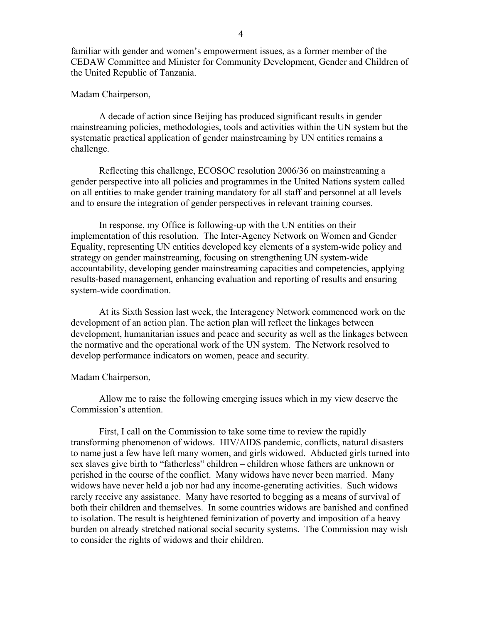familiar with gender and women's empowerment issues, as a former member of the CEDAW Committee and Minister for Community Development, Gender and Children of the United Republic of Tanzania.

## Madam Chairperson,

 A decade of action since Beijing has produced significant results in gender mainstreaming policies, methodologies, tools and activities within the UN system but the systematic practical application of gender mainstreaming by UN entities remains a challenge.

 Reflecting this challenge, ECOSOC resolution 2006/36 on mainstreaming a gender perspective into all policies and programmes in the United Nations system called on all entities to make gender training mandatory for all staff and personnel at all levels and to ensure the integration of gender perspectives in relevant training courses.

 In response, my Office is following-up with the UN entities on their implementation of this resolution. The Inter-Agency Network on Women and Gender Equality, representing UN entities developed key elements of a system-wide policy and strategy on gender mainstreaming, focusing on strengthening UN system-wide accountability, developing gender mainstreaming capacities and competencies, applying results-based management, enhancing evaluation and reporting of results and ensuring system-wide coordination.

 At its Sixth Session last week, the Interagency Network commenced work on the development of an action plan. The action plan will reflect the linkages between development, humanitarian issues and peace and security as well as the linkages between the normative and the operational work of the UN system. The Network resolved to develop performance indicators on women, peace and security.

## Madam Chairperson,

 Allow me to raise the following emerging issues which in my view deserve the Commission's attention.

 First, I call on the Commission to take some time to review the rapidly transforming phenomenon of widows. HIV/AIDS pandemic, conflicts, natural disasters to name just a few have left many women, and girls widowed. Abducted girls turned into sex slaves give birth to "fatherless" children – children whose fathers are unknown or perished in the course of the conflict. Many widows have never been married. Many widows have never held a job nor had any income-generating activities. Such widows rarely receive any assistance. Many have resorted to begging as a means of survival of both their children and themselves. In some countries widows are banished and confined to isolation. The result is heightened feminization of poverty and imposition of a heavy burden on already stretched national social security systems. The Commission may wish to consider the rights of widows and their children.